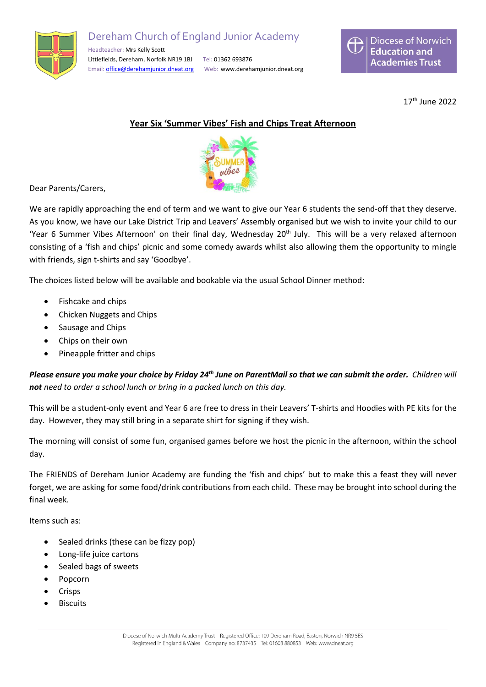

## Dereham Church of England Junior Academy

Headteacher: Mrs Kelly Scott Littlefields, Dereham, Norfolk NR19 1BJ Tel: 01362 693876 Email: [office@derehamjunior.dneat.org](mailto:office@derehamjunior.dneat.org) Web: www.derehamjunior.dneat.org



17th June 2022

## **Year Six 'Summer Vibes' Fish and Chips Treat Afternoon**



Dear Parents/Carers,

We are rapidly approaching the end of term and we want to give our Year 6 students the send-off that they deserve. As you know, we have our Lake District Trip and Leavers' Assembly organised but we wish to invite your child to our 'Year 6 Summer Vibes Afternoon' on their final day, Wednesday 20<sup>th</sup> July. This will be a very relaxed afternoon consisting of a 'fish and chips' picnic and some comedy awards whilst also allowing them the opportunity to mingle with friends, sign t-shirts and say 'Goodbye'.

The choices listed below will be available and bookable via the usual School Dinner method:

- Fishcake and chips
- Chicken Nuggets and Chips
- Sausage and Chips
- Chips on their own
- Pineapple fritter and chips

Please ensure you make your choice by Friday 24<sup>th</sup> June on ParentMail so that we can submit the order. Children will *not need to order a school lunch or bring in a packed lunch on this day.*

This will be a student-only event and Year 6 are free to dress in their Leavers' T-shirts and Hoodies with PE kits for the day. However, they may still bring in a separate shirt for signing if they wish.

The morning will consist of some fun, organised games before we host the picnic in the afternoon, within the school day.

The FRIENDS of Dereham Junior Academy are funding the 'fish and chips' but to make this a feast they will never forget, we are asking for some food/drink contributions from each child. These may be brought into school during the final week.

Items such as:

- Sealed drinks (these can be fizzy pop)
- Long-life juice cartons
- Sealed bags of sweets
- Popcorn
- Crisps
- **Biscuits**